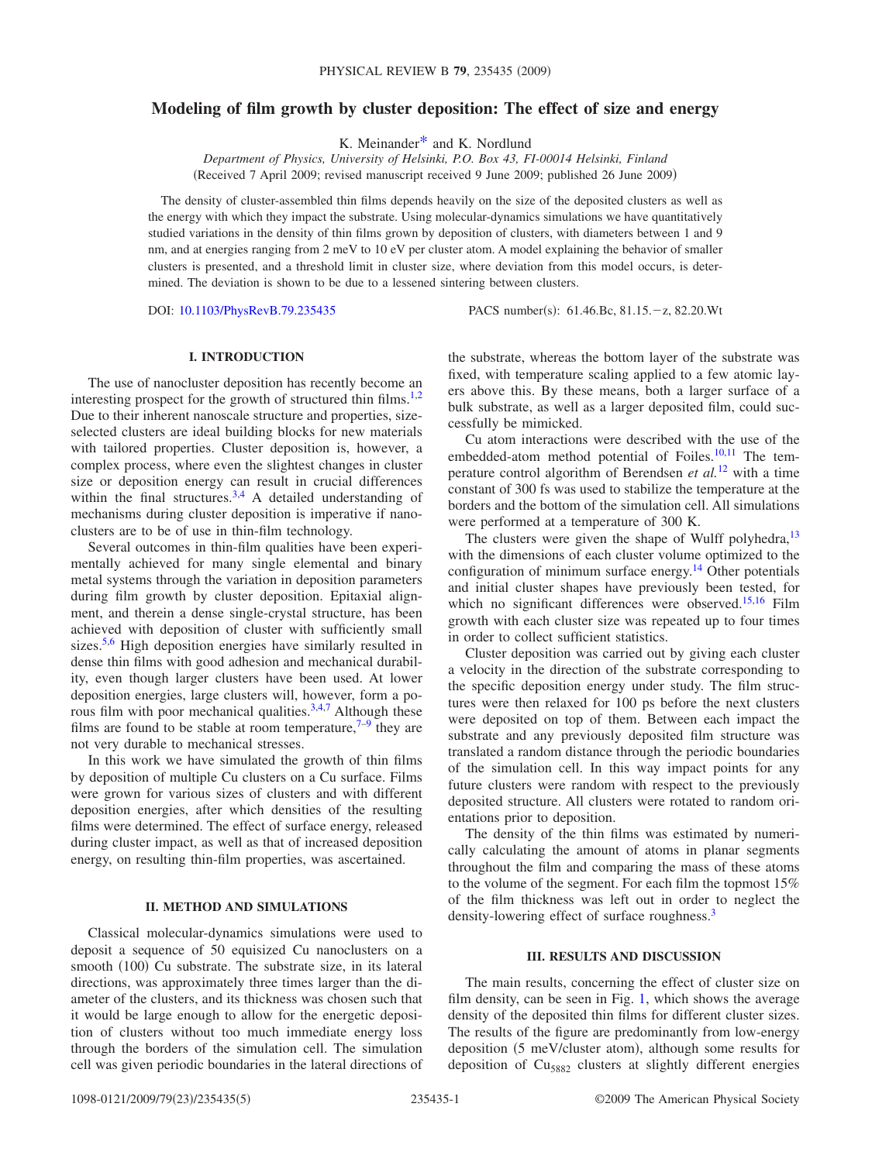# **Modeling of film growth by cluster deposition: The effect of size and energy**

K. Meinande[r\\*](#page-3-0) and K. Nordlund

*Department of Physics, University of Helsinki, P.O. Box 43, FI-00014 Helsinki, Finland* Received 7 April 2009; revised manuscript received 9 June 2009; published 26 June 2009-

The density of cluster-assembled thin films depends heavily on the size of the deposited clusters as well as the energy with which they impact the substrate. Using molecular-dynamics simulations we have quantitatively studied variations in the density of thin films grown by deposition of clusters, with diameters between 1 and 9 nm, and at energies ranging from 2 meV to 10 eV per cluster atom. A model explaining the behavior of smaller clusters is presented, and a threshold limit in cluster size, where deviation from this model occurs, is determined. The deviation is shown to be due to a lessened sintering between clusters.

DOI: [10.1103/PhysRevB.79.235435](http://dx.doi.org/10.1103/PhysRevB.79.235435)

PACS number(s):  $61.46$ .Bc,  $81.15$ . - z,  $82.20$ .Wt

# **I. INTRODUCTION**

The use of nanocluster deposition has recently become an interesting prospect for the growth of structured thin films.<sup>1[,2](#page-3-2)</sup> Due to their inherent nanoscale structure and properties, sizeselected clusters are ideal building blocks for new materials with tailored properties. Cluster deposition is, however, a complex process, where even the slightest changes in cluster size or deposition energy can result in crucial differences within the final structures. $3,4$  $3,4$  A detailed understanding of mechanisms during cluster deposition is imperative if nanoclusters are to be of use in thin-film technology.

Several outcomes in thin-film qualities have been experimentally achieved for many single elemental and binary metal systems through the variation in deposition parameters during film growth by cluster deposition. Epitaxial alignment, and therein a dense single-crystal structure, has been achieved with deposition of cluster with sufficiently small sizes.<sup>5,[6](#page-4-1)</sup> High deposition energies have similarly resulted in dense thin films with good adhesion and mechanical durability, even though larger clusters have been used. At lower deposition energies, large clusters will, however, form a porous film with poor mechanical qualities. $3,4,7$  $3,4,7$  $3,4,7$  Although these films are found to be stable at room temperature, $7-9$  they are not very durable to mechanical stresses.

In this work we have simulated the growth of thin films by deposition of multiple Cu clusters on a Cu surface. Films were grown for various sizes of clusters and with different deposition energies, after which densities of the resulting films were determined. The effect of surface energy, released during cluster impact, as well as that of increased deposition energy, on resulting thin-film properties, was ascertained.

# **II. METHOD AND SIMULATIONS**

Classical molecular-dynamics simulations were used to deposit a sequence of 50 equisized Cu nanoclusters on a smooth (100) Cu substrate. The substrate size, in its lateral directions, was approximately three times larger than the diameter of the clusters, and its thickness was chosen such that it would be large enough to allow for the energetic deposition of clusters without too much immediate energy loss through the borders of the simulation cell. The simulation cell was given periodic boundaries in the lateral directions of

the substrate, whereas the bottom layer of the substrate was fixed, with temperature scaling applied to a few atomic layers above this. By these means, both a larger surface of a bulk substrate, as well as a larger deposited film, could successfully be mimicked.

Cu atom interactions were described with the use of the embedded-atom method potential of Foiles. $10,11$  $10,11$  The temperature control algorithm of Berendsen *et al.*[12](#page-4-6) with a time constant of 300 fs was used to stabilize the temperature at the borders and the bottom of the simulation cell. All simulations were performed at a temperature of 300 K.

The clusters were given the shape of Wulff polyhedra, $^{13}$ with the dimensions of each cluster volume optimized to the configuration of minimum surface energy. $\frac{14}{14}$  Other potentials and initial cluster shapes have previously been tested, for which no significant differences were observed.<sup>15[,16](#page-4-10)</sup> Film growth with each cluster size was repeated up to four times in order to collect sufficient statistics.

Cluster deposition was carried out by giving each cluster a velocity in the direction of the substrate corresponding to the specific deposition energy under study. The film structures were then relaxed for 100 ps before the next clusters were deposited on top of them. Between each impact the substrate and any previously deposited film structure was translated a random distance through the periodic boundaries of the simulation cell. In this way impact points for any future clusters were random with respect to the previously deposited structure. All clusters were rotated to random orientations prior to deposition.

The density of the thin films was estimated by numerically calculating the amount of atoms in planar segments throughout the film and comparing the mass of these atoms to the volume of the segment. For each film the topmost 15% of the film thickness was left out in order to neglect the density-lowering effect of surface roughness.<sup>3</sup>

# **III. RESULTS AND DISCUSSION**

The main results, concerning the effect of cluster size on film density, can be seen in Fig. [1,](#page-1-0) which shows the average density of the deposited thin films for different cluster sizes. The results of the figure are predominantly from low-energy deposition (5 meV/cluster atom), although some results for deposition of  $Cu<sub>5882</sub>$  clusters at slightly different energies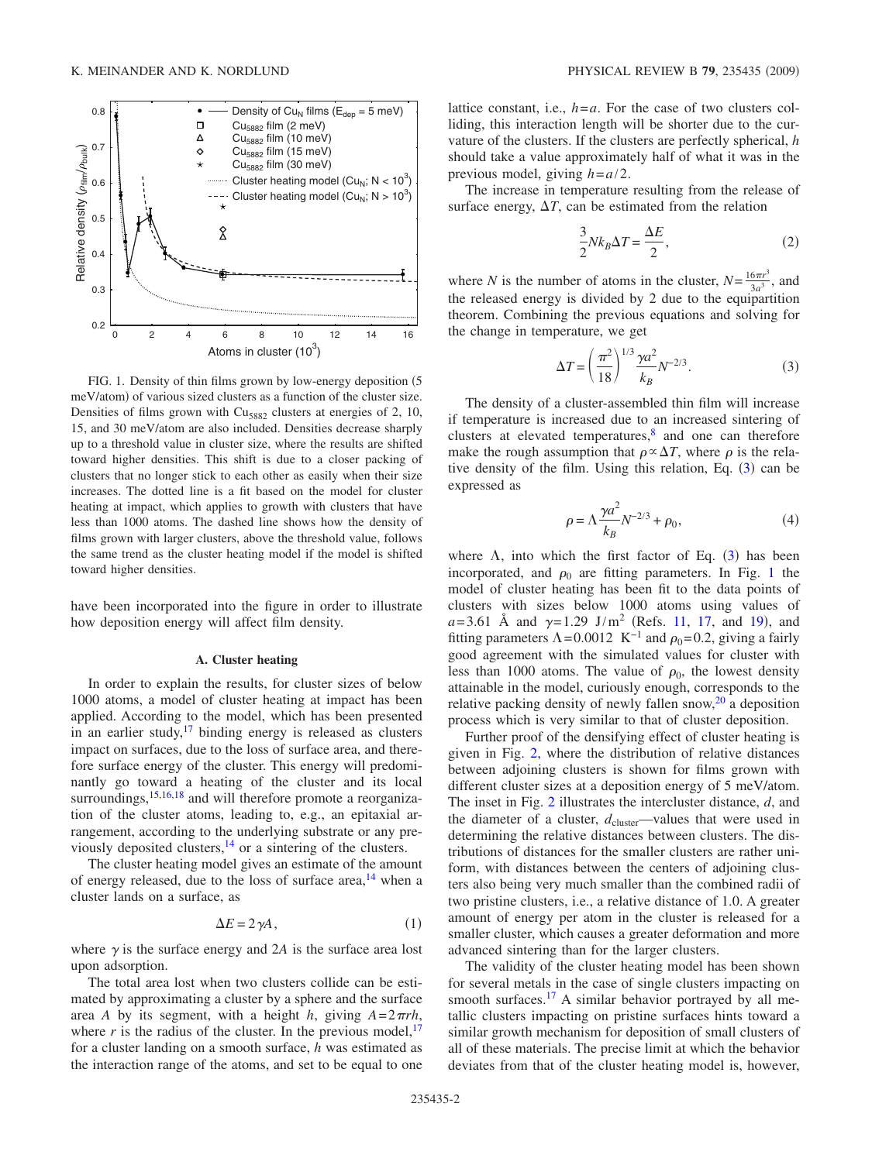<span id="page-1-0"></span>

FIG. 1. Density of thin films grown by low-energy deposition  $(5$ meV/atom) of various sized clusters as a function of the cluster size. Densities of films grown with Cu<sub>5882</sub> clusters at energies of 2, 10, 15, and 30 meV/atom are also included. Densities decrease sharply up to a threshold value in cluster size, where the results are shifted toward higher densities. This shift is due to a closer packing of clusters that no longer stick to each other as easily when their size increases. The dotted line is a fit based on the model for cluster heating at impact, which applies to growth with clusters that have less than 1000 atoms. The dashed line shows how the density of films grown with larger clusters, above the threshold value, follows the same trend as the cluster heating model if the model is shifted toward higher densities.

have been incorporated into the figure in order to illustrate how deposition energy will affect film density.

#### **A. Cluster heating**

In order to explain the results, for cluster sizes of below 1000 atoms, a model of cluster heating at impact has been applied. According to the model, which has been presented in an earlier study,  $\frac{17}{10}$  binding energy is released as clusters impact on surfaces, due to the loss of surface area, and therefore surface energy of the cluster. This energy will predominantly go toward a heating of the cluster and its local surroundings, $15,16,18$  $15,16,18$  $15,16,18$  and will therefore promote a reorganization of the cluster atoms, leading to, e.g., an epitaxial arrangement, according to the underlying substrate or any previously deposited clusters,  $^{14}$  or a sintering of the clusters.

The cluster heating model gives an estimate of the amount of energy released, due to the loss of surface area, $^{14}$  when a cluster lands on a surface, as

$$
\Delta E = 2\gamma A, \tag{1}
$$

where  $\gamma$  is the surface energy and 2*A* is the surface area lost upon adsorption.

The total area lost when two clusters collide can be estimated by approximating a cluster by a sphere and the surface area *A* by its segment, with a height *h*, giving  $A = 2\pi rh$ , where  $r$  is the radius of the cluster. In the previous model,<sup>17</sup> for a cluster landing on a smooth surface, *h* was estimated as the interaction range of the atoms, and set to be equal to one lattice constant, i.e., *h*=*a*. For the case of two clusters colliding, this interaction length will be shorter due to the curvature of the clusters. If the clusters are perfectly spherical, *h* should take a value approximately half of what it was in the previous model, giving *h*=*a*/2.

The increase in temperature resulting from the release of surface energy,  $\Delta T$ , can be estimated from the relation

$$
\frac{3}{2}Nk_B\Delta T = \frac{\Delta E}{2},\tag{2}
$$

where *N* is the number of atoms in the cluster,  $N = \frac{16\pi r^3}{3a^3}$ , and the released energy is divided by 2 due to the equipartition theorem. Combining the previous equations and solving for the change in temperature, we get

$$
\Delta T = \left(\frac{\pi^2}{18}\right)^{1/3} \frac{\gamma a^2}{k_B} N^{-2/3}.
$$
 (3)

<span id="page-1-1"></span>The density of a cluster-assembled thin film will increase if temperature is increased due to an increased sintering of clusters at elevated temperatures, $8$  and one can therefore make the rough assumption that  $\rho \propto \Delta T$ , where  $\rho$  is the relative density of the film. Using this relation, Eq.  $(3)$  $(3)$  $(3)$  can be expressed as

$$
\rho = \Lambda \frac{\gamma a^2}{k_B} N^{-2/3} + \rho_0,\tag{4}
$$

where  $\Lambda$ , into which the first factor of Eq. ([3](#page-1-1)) has been incorporated, and  $\rho_0$  are fitting parameters. In Fig. [1](#page-1-0) the model of cluster heating has been fit to the data points of clusters with sizes below 1000 atoms using values of  $a = 3.61$  Å and  $\gamma = 1.29$  J/m<sup>2</sup> (Refs. [11,](#page-4-5) [17,](#page-4-11) and [19](#page-4-14)), and fitting parameters  $\Lambda$  = 0.0012 K<sup>-1</sup> and  $\rho_0$ = 0.2, giving a fairly good agreement with the simulated values for cluster with less than 1000 atoms. The value of  $\rho_0$ , the lowest density attainable in the model, curiously enough, corresponds to the relative packing density of newly fallen snow,  $20$  a deposition process which is very similar to that of cluster deposition.

Further proof of the densifying effect of cluster heating is given in Fig. [2,](#page-2-0) where the distribution of relative distances between adjoining clusters is shown for films grown with different cluster sizes at a deposition energy of 5 meV/atom. The inset in Fig. [2](#page-2-0) illustrates the intercluster distance, *d*, and the diameter of a cluster,  $d_{cluster}$ —values that were used in determining the relative distances between clusters. The distributions of distances for the smaller clusters are rather uniform, with distances between the centers of adjoining clusters also being very much smaller than the combined radii of two pristine clusters, i.e., a relative distance of 1.0. A greater amount of energy per atom in the cluster is released for a smaller cluster, which causes a greater deformation and more advanced sintering than for the larger clusters.

The validity of the cluster heating model has been shown for several metals in the case of single clusters impacting on smooth surfaces.<sup>17</sup> A similar behavior portrayed by all metallic clusters impacting on pristine surfaces hints toward a similar growth mechanism for deposition of small clusters of all of these materials. The precise limit at which the behavior deviates from that of the cluster heating model is, however,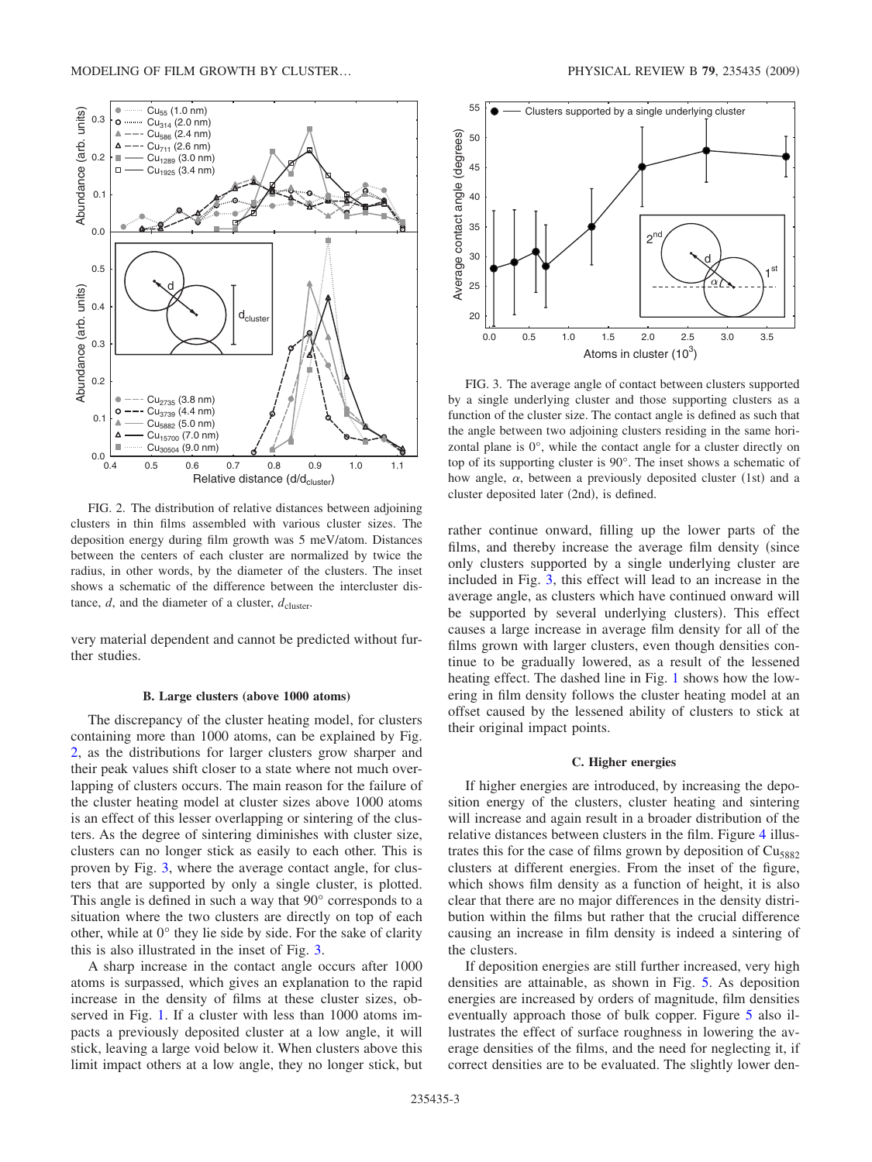<span id="page-2-0"></span>

FIG. 2. The distribution of relative distances between adjoining clusters in thin films assembled with various cluster sizes. The deposition energy during film growth was 5 meV/atom. Distances between the centers of each cluster are normalized by twice the radius, in other words, by the diameter of the clusters. The inset shows a schematic of the difference between the intercluster distance,  $d$ , and the diameter of a cluster,  $d_{\text{cluster}}$ .

very material dependent and cannot be predicted without further studies.

#### **B. Large clusters (above 1000 atoms)**

The discrepancy of the cluster heating model, for clusters containing more than 1000 atoms, can be explained by Fig. [2,](#page-2-0) as the distributions for larger clusters grow sharper and their peak values shift closer to a state where not much overlapping of clusters occurs. The main reason for the failure of the cluster heating model at cluster sizes above 1000 atoms is an effect of this lesser overlapping or sintering of the clusters. As the degree of sintering diminishes with cluster size, clusters can no longer stick as easily to each other. This is proven by Fig. [3,](#page-2-1) where the average contact angle, for clusters that are supported by only a single cluster, is plotted. This angle is defined in such a way that 90° corresponds to a situation where the two clusters are directly on top of each other, while at 0° they lie side by side. For the sake of clarity this is also illustrated in the inset of Fig. [3.](#page-2-1)

A sharp increase in the contact angle occurs after 1000 atoms is surpassed, which gives an explanation to the rapid increase in the density of films at these cluster sizes, observed in Fig. [1.](#page-1-0) If a cluster with less than 1000 atoms impacts a previously deposited cluster at a low angle, it will stick, leaving a large void below it. When clusters above this limit impact others at a low angle, they no longer stick, but

<span id="page-2-1"></span>

FIG. 3. The average angle of contact between clusters supported by a single underlying cluster and those supporting clusters as a function of the cluster size. The contact angle is defined as such that the angle between two adjoining clusters residing in the same horizontal plane is  $0^\circ$ , while the contact angle for a cluster directly on top of its supporting cluster is 90°. The inset shows a schematic of how angle,  $\alpha$ , between a previously deposited cluster (1st) and a cluster deposited later (2nd), is defined.

rather continue onward, filling up the lower parts of the films, and thereby increase the average film density (since only clusters supported by a single underlying cluster are included in Fig. [3,](#page-2-1) this effect will lead to an increase in the average angle, as clusters which have continued onward will be supported by several underlying clusters). This effect causes a large increase in average film density for all of the films grown with larger clusters, even though densities continue to be gradually lowered, as a result of the lessened heating effect. The dashed line in Fig. [1](#page-1-0) shows how the lowering in film density follows the cluster heating model at an offset caused by the lessened ability of clusters to stick at their original impact points.

# **C. Higher energies**

If higher energies are introduced, by increasing the deposition energy of the clusters, cluster heating and sintering will increase and again result in a broader distribution of the relative distances between clusters in the film. Figure [4](#page-3-5) illustrates this for the case of films grown by deposition of  $Cu<sub>5882</sub>$ clusters at different energies. From the inset of the figure, which shows film density as a function of height, it is also clear that there are no major differences in the density distribution within the films but rather that the crucial difference causing an increase in film density is indeed a sintering of the clusters.

If deposition energies are still further increased, very high densities are attainable, as shown in Fig. [5.](#page-3-6) As deposition energies are increased by orders of magnitude, film densities eventually approach those of bulk copper. Figure [5](#page-3-6) also illustrates the effect of surface roughness in lowering the average densities of the films, and the need for neglecting it, if correct densities are to be evaluated. The slightly lower den-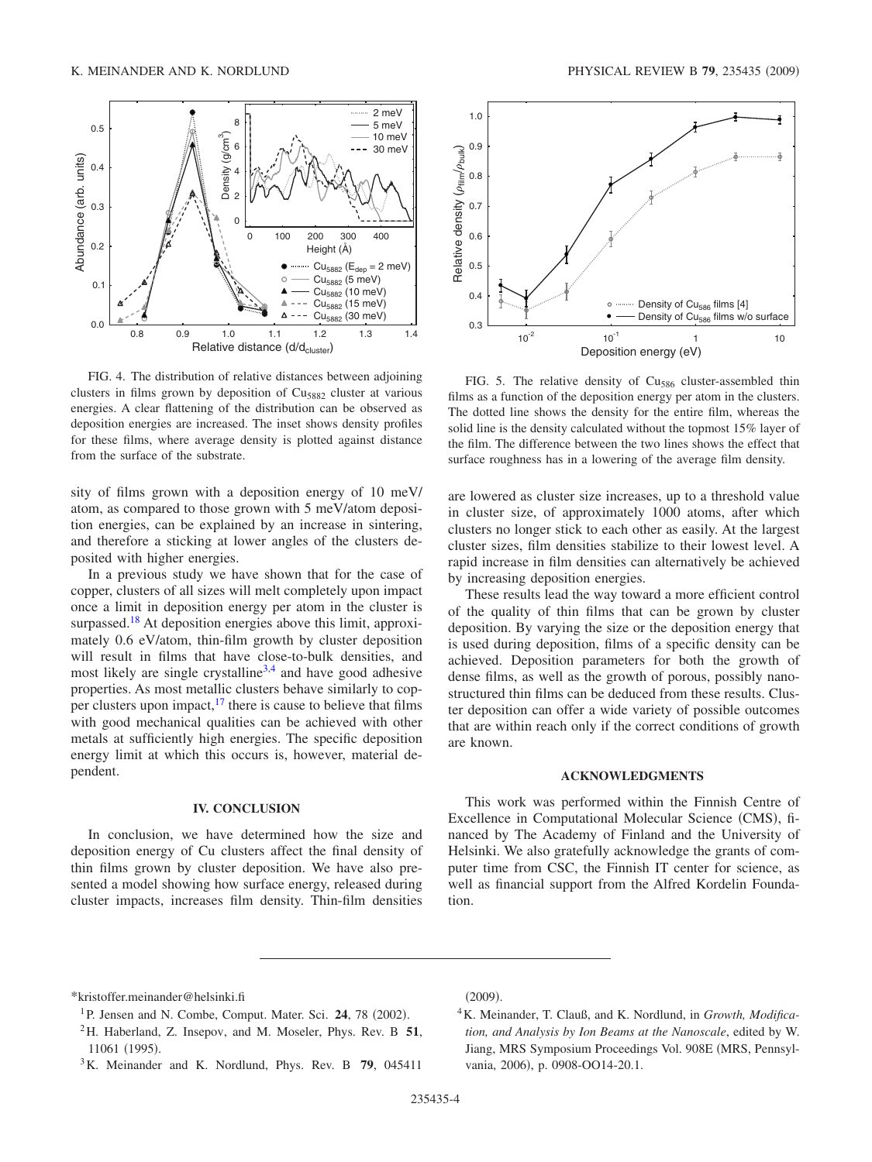<span id="page-3-5"></span>

FIG. 4. The distribution of relative distances between adjoining clusters in films grown by deposition of Cu<sub>5882</sub> cluster at various energies. A clear flattening of the distribution can be observed as deposition energies are increased. The inset shows density profiles for these films, where average density is plotted against distance from the surface of the substrate.

sity of films grown with a deposition energy of 10 meV/ atom, as compared to those grown with 5 meV/atom deposition energies, can be explained by an increase in sintering, and therefore a sticking at lower angles of the clusters deposited with higher energies.

In a previous study we have shown that for the case of copper, clusters of all sizes will melt completely upon impact once a limit in deposition energy per atom in the cluster is surpassed.<sup>18</sup> At deposition energies above this limit, approximately 0.6 eV/atom, thin-film growth by cluster deposition will result in films that have close-to-bulk densities, and most likely are single crystalline<sup>3[,4](#page-3-4)</sup> and have good adhesive properties. As most metallic clusters behave similarly to copper clusters upon impact, $17$  there is cause to believe that films with good mechanical qualities can be achieved with other metals at sufficiently high energies. The specific deposition energy limit at which this occurs is, however, material dependent.

#### **IV. CONCLUSION**

In conclusion, we have determined how the size and deposition energy of Cu clusters affect the final density of thin films grown by cluster deposition. We have also presented a model showing how surface energy, released during cluster impacts, increases film density. Thin-film densities

<span id="page-3-6"></span>

FIG. 5. The relative density of Cu<sub>586</sub> cluster-assembled thin films as a function of the deposition energy per atom in the clusters. The dotted line shows the density for the entire film, whereas the solid line is the density calculated without the topmost 15% layer of the film. The difference between the two lines shows the effect that surface roughness has in a lowering of the average film density.

are lowered as cluster size increases, up to a threshold value in cluster size, of approximately 1000 atoms, after which clusters no longer stick to each other as easily. At the largest cluster sizes, film densities stabilize to their lowest level. A rapid increase in film densities can alternatively be achieved by increasing deposition energies.

These results lead the way toward a more efficient control of the quality of thin films that can be grown by cluster deposition. By varying the size or the deposition energy that is used during deposition, films of a specific density can be achieved. Deposition parameters for both the growth of dense films, as well as the growth of porous, possibly nanostructured thin films can be deduced from these results. Cluster deposition can offer a wide variety of possible outcomes that are within reach only if the correct conditions of growth are known.

# **ACKNOWLEDGMENTS**

This work was performed within the Finnish Centre of Excellence in Computational Molecular Science (CMS), financed by The Academy of Finland and the University of Helsinki. We also gratefully acknowledge the grants of computer time from CSC, the Finnish IT center for science, as well as financial support from the Alfred Kordelin Foundation.

\*kristoffer.meinander@helsinki.fi

- <span id="page-3-0"></span><sup>1</sup>P. Jensen and N. Combe, Comput. Mater. Sci. 24, 78 (2002).
- <span id="page-3-1"></span>2H. Haberland, Z. Insepov, and M. Moseler, Phys. Rev. B **51**, 11061 (1995).
- <span id="page-3-3"></span><span id="page-3-2"></span>3K. Meinander and K. Nordlund, Phys. Rev. B **79**, 045411

 $(2009).$ 

<span id="page-3-4"></span><sup>4</sup>K. Meinander, T. Clauß, and K. Nordlund, in *Growth, Modification, and Analysis by Ion Beams at the Nanoscale*, edited by W. Jiang, MRS Symposium Proceedings Vol. 908E MRS, Pennsylvania, 2006), p. 0908-OO14-20.1.